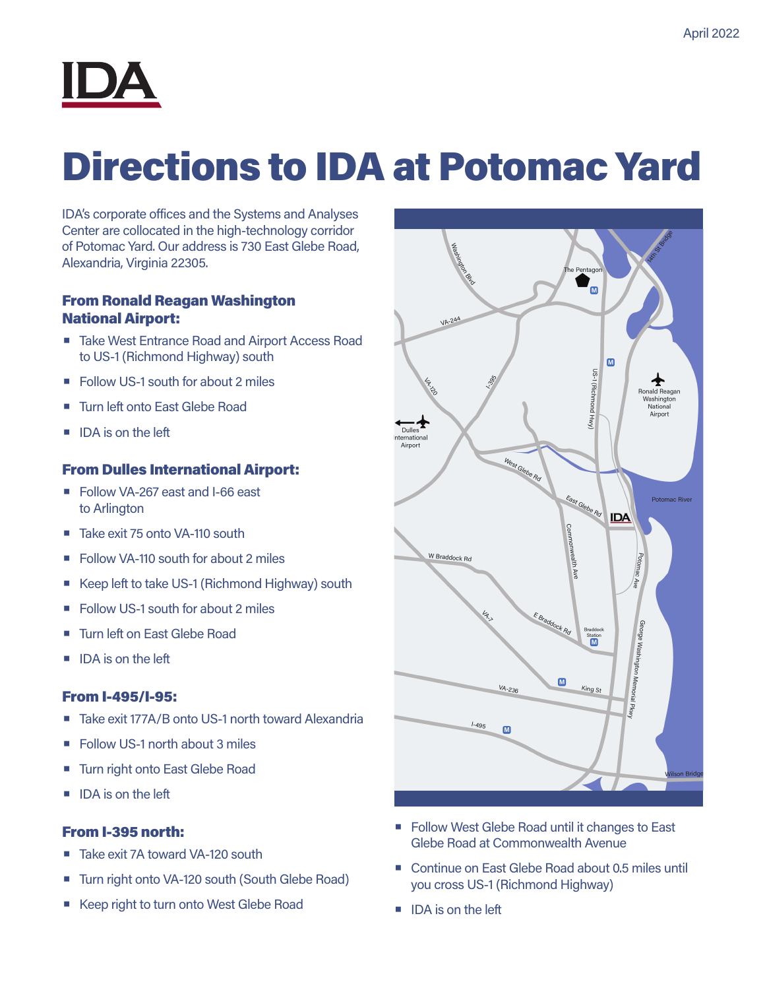

# Directions to IDA at Potomac Yard

IDA's corporate offices and the Systems and Analyses Center are collocated in the high-technology corridor of Potomac Yard. Our address is 730 East Glebe Road, Alexandria, Virginia 22305.

### From Ronald Reagan Washington National Airport:

- Take West Entrance Road and Airport Access Road to US-1 (Richmond Highway) south
- Follow US-1 south for about 2 miles
- Turn left onto East Glebe Road
- $\blacksquare$  IDA is on the left

#### From Dulles International Airport:

- Follow VA-267 east and I-66 east to Arlington
- Take exit 75 onto VA-110 south
- Follow VA-110 south for about 2 miles
- Keep left to take US-1 (Richmond Highway) south
- **Follow US-1 south for about 2 miles**
- Turn left on East Glebe Road
- $\blacksquare$  IDA is on the left

#### From I-495/I-95:

- Take exit 177A/B onto US-1 north toward Alexandria
- Follow US-1 north about 3 miles
- **Turn right onto East Glebe Road**
- $\blacksquare$  IDA is on the left

#### From I-395 north:

- Take exit 7A toward VA-120 south
- Turn right onto VA-120 south (South Glebe Road)
- Keep right to turn onto West Glebe Road



- Follow West Glebe Road until it changes to East Glebe Road at Commonwealth Avenue
- Continue on East Glebe Road about 0.5 miles until you cross US-1 (Richmond Highway)
- $\blacksquare$  IDA is on the left